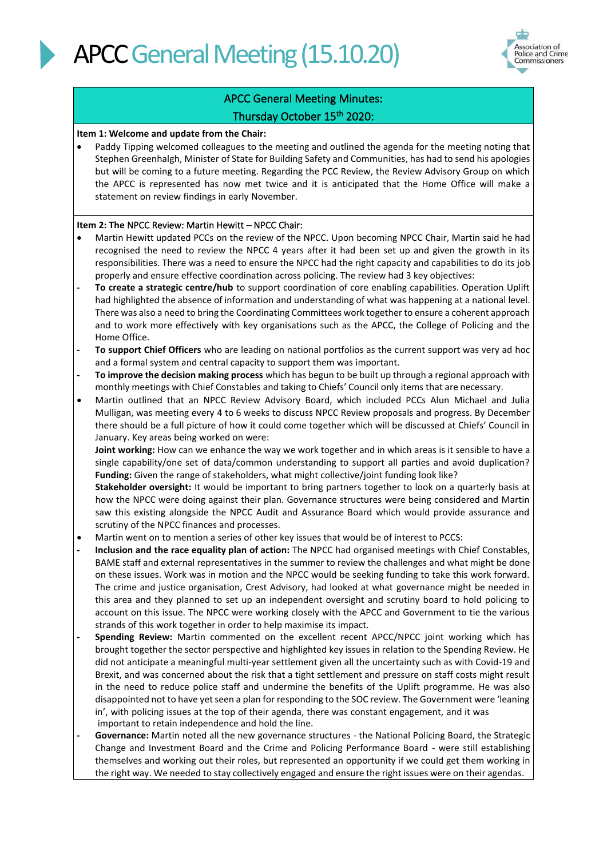



### APCC General Meeting Minutes: Thursday October 15th 2020:

#### **Item 1: Welcome and update from the Chair:**

Paddy Tipping welcomed colleagues to the meeting and outlined the agenda for the meeting noting that Stephen Greenhalgh, Minister of State for Building Safety and Communities, has had to send his apologies but will be coming to a future meeting. Regarding the PCC Review, the Review Advisory Group on which the APCC is represented has now met twice and it is anticipated that the Home Office will make a statement on review findings in early November.

#### **Item 2: The** NPCC Review: Martin Hewitt – NPCC Chair:

- Martin Hewitt updated PCCs on the review of the NPCC. Upon becoming NPCC Chair, Martin said he had recognised the need to review the NPCC 4 years after it had been set up and given the growth in its responsibilities. There was a need to ensure the NPCC had the right capacity and capabilities to do its job properly and ensure effective coordination across policing. The review had 3 key objectives:
- **- To create a strategic centre/hub** to support coordination of core enabling capabilities. Operation Uplift had highlighted the absence of information and understanding of what was happening at a national level. There was also a need to bring the Coordinating Committees work together to ensure a coherent approach and to work more effectively with key organisations such as the APCC, the College of Policing and the Home Office.
- **- To support Chief Officers** who are leading on national portfolios as the current support was very ad hoc and a formal system and central capacity to support them was important.
- **- To improve the decision making process** which has begun to be built up through a regional approach with monthly meetings with Chief Constables and taking to Chiefs' Council only items that are necessary.
- Martin outlined that an NPCC Review Advisory Board, which included PCCs Alun Michael and Julia Mulligan, was meeting every 4 to 6 weeks to discuss NPCC Review proposals and progress. By December there should be a full picture of how it could come together which will be discussed at Chiefs' Council in January. Key areas being worked on were:

**Joint working:** How can we enhance the way we work together and in which areas is it sensible to have a single capability/one set of data/common understanding to support all parties and avoid duplication? **Funding:** Given the range of stakeholders, what might collective/joint funding look like?

**Stakeholder oversight:** It would be important to bring partners together to look on a quarterly basis at how the NPCC were doing against their plan. Governance structures were being considered and Martin saw this existing alongside the NPCC Audit and Assurance Board which would provide assurance and scrutiny of the NPCC finances and processes.

- Martin went on to mention a series of other key issues that would be of interest to PCCS:
- **- Inclusion and the race equality plan of action:** The NPCC had organised meetings with Chief Constables, BAME staff and external representatives in the summer to review the challenges and what might be done on these issues. Work was in motion and the NPCC would be seeking funding to take this work forward. The crime and justice organisation, Crest Advisory, had looked at what governance might be needed in this area and they planned to set up an independent oversight and scrutiny board to hold policing to account on this issue. The NPCC were working closely with the APCC and Government to tie the various strands of this work together in order to help maximise its impact.
- **- Spending Review:** Martin commented on the excellent recent APCC/NPCC joint working which has brought together the sector perspective and highlighted key issues in relation to the Spending Review. He did not anticipate a meaningful multi-year settlement given all the uncertainty such as with Covid-19 and Brexit, and was concerned about the risk that a tight settlement and pressure on staff costs might result in the need to reduce police staff and undermine the benefits of the Uplift programme. He was also disappointed not to have yet seen a plan for responding to the SOC review. The Government were 'leaning in', with policing issues at the top of their agenda, there was constant engagement, and it was important to retain independence and hold the line.
- **- Governance:** Martin noted all the new governance structures the National Policing Board, the Strategic Change and Investment Board and the Crime and Policing Performance Board - were still establishing themselves and working out their roles, but represented an opportunity if we could get them working in the right way. We needed to stay collectively engaged and ensure the right issues were on their agendas.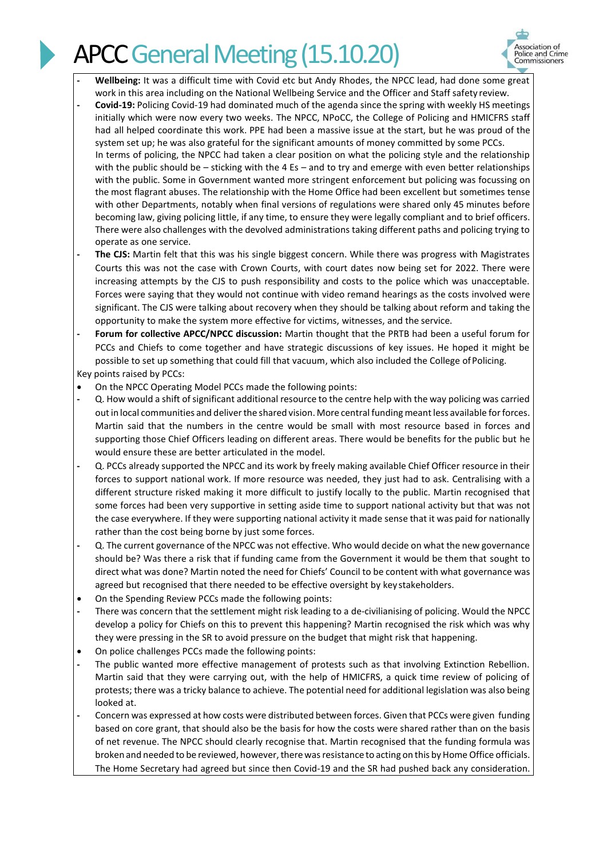

- **- Wellbeing:** It was a difficult time with Covid etc but Andy Rhodes, the NPCC lead, had done some great work in this area including on the National Wellbeing Service and the Officer and Staff safety review.
- **- Covid-19:** Policing Covid-19 had dominated much of the agenda since the spring with weekly HS meetings initially which were now every two weeks. The NPCC, NPoCC, the College of Policing and HMICFRS staff had all helped coordinate this work. PPE had been a massive issue at the start, but he was proud of the system set up; he was also grateful for the significant amounts of money committed by some PCCs. In terms of policing, the NPCC had taken a clear position on what the policing style and the relationship with the public should be – sticking with the 4 Es – and to try and emerge with even better relationships with the public. Some in Government wanted more stringent enforcement but policing was focussing on the most flagrant abuses. The relationship with the Home Office had been excellent but sometimes tense with other Departments, notably when final versions of regulations were shared only 45 minutes before becoming law, giving policing little, if any time, to ensure they were legally compliant and to brief officers. There were also challenges with the devolved administrations taking different paths and policing trying to operate as one service.
- **- The CJS:** Martin felt that this was his single biggest concern. While there was progress with Magistrates Courts this was not the case with Crown Courts, with court dates now being set for 2022. There were increasing attempts by the CJS to push responsibility and costs to the police which was unacceptable. Forces were saying that they would not continue with video remand hearings as the costs involved were significant. The CJS were talking about recovery when they should be talking about reform and taking the opportunity to make the system more effective for victims, witnesses, and the service.
- **- Forum for collective APCC/NPCC discussion:** Martin thought that the PRTB had been a useful forum for PCCs and Chiefs to come together and have strategic discussions of key issues. He hoped it might be possible to set up something that could fill that vacuum, which also included the College of Policing.

Key points raised by PCCs:

- On the NPCC Operating Model PCCs made the following points:
- **-** Q. How would a shift of significant additional resource to the centre help with the way policing was carried out in local communities and deliver the shared vision. More central funding meant less available for forces. Martin said that the numbers in the centre would be small with most resource based in forces and supporting those Chief Officers leading on different areas. There would be benefits for the public but he would ensure these are better articulated in the model.
- **-** Q. PCCs already supported the NPCC and its work by freely making available Chief Officer resource in their forces to support national work. If more resource was needed, they just had to ask. Centralising with a different structure risked making it more difficult to justify locally to the public. Martin recognised that some forces had been very supportive in setting aside time to support national activity but that was not the case everywhere. If they were supporting national activity it made sense that it was paid for nationally rather than the cost being borne by just some forces.
- **-** Q. The current governance of the NPCC was not effective. Who would decide on what the new governance should be? Was there a risk that if funding came from the Government it would be them that sought to direct what was done? Martin noted the need for Chiefs' Council to be content with what governance was agreed but recognised that there needed to be effective oversight by key stakeholders.
- On the Spending Review PCCs made the following points:
- There was concern that the settlement might risk leading to a de-civilianising of policing. Would the NPCC develop a policy for Chiefs on this to prevent this happening? Martin recognised the risk which was why they were pressing in the SR to avoid pressure on the budget that might risk that happening.
- On police challenges PCCs made the following points:
- **-** The public wanted more effective management of protests such as that involving Extinction Rebellion. Martin said that they were carrying out, with the help of HMICFRS, a quick time review of policing of protests; there was a tricky balance to achieve. The potential need for additional legislation was also being looked at.
- **-** Concern was expressed at how costs were distributed between forces. Given that PCCs were given funding based on core grant, that should also be the basis for how the costs were shared rather than on the basis of net revenue. The NPCC should clearly recognise that. Martin recognised that the funding formula was broken and needed to be reviewed, however, there was resistance to acting on this by Home Office officials. The Home Secretary had agreed but since then Covid-19 and the SR had pushed back any consideration.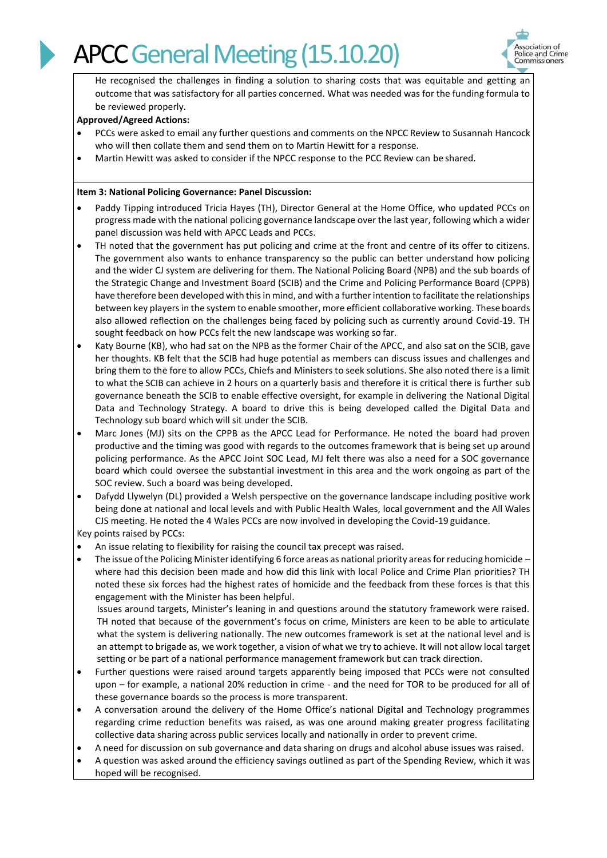

He recognised the challenges in finding a solution to sharing costs that was equitable and getting an outcome that was satisfactory for all parties concerned. What was needed was for the funding formula to be reviewed properly.

### **Approved/Agreed Actions:**

- PCCs were asked to email any further questions and comments on the NPCC Review to Susannah Hancock who will then collate them and send them on to Martin Hewitt for a response.
- Martin Hewitt was asked to consider if the NPCC response to the PCC Review can be shared.

#### **Item 3: National Policing Governance: Panel Discussion:**

- Paddy Tipping introduced Tricia Hayes (TH), Director General at the Home Office, who updated PCCs on progress made with the national policing governance landscape over the last year, following which a wider panel discussion was held with APCC Leads and PCCs.
- TH noted that the government has put policing and crime at the front and centre of its offer to citizens. The government also wants to enhance transparency so the public can better understand how policing and the wider CJ system are delivering for them. The National Policing Board (NPB) and the sub boards of the Strategic Change and Investment Board (SCIB) and the Crime and Policing Performance Board (CPPB) have therefore been developed with this in mind, and with a further intention to facilitate the relationships between key players in the system to enable smoother, more efficient collaborative working. These boards also allowed reflection on the challenges being faced by policing such as currently around Covid-19. TH sought feedback on how PCCs felt the new landscape was working so far.
- Katy Bourne (KB), who had sat on the NPB as the former Chair of the APCC, and also sat on the SCIB, gave her thoughts. KB felt that the SCIB had huge potential as members can discuss issues and challenges and bring them to the fore to allow PCCs, Chiefs and Ministers to seek solutions. She also noted there is a limit to what the SCIB can achieve in 2 hours on a quarterly basis and therefore it is critical there is further sub governance beneath the SCIB to enable effective oversight, for example in delivering the National Digital Data and Technology Strategy. A board to drive this is being developed called the Digital Data and Technology sub board which will sit under the SCIB.
- Marc Jones (MJ) sits on the CPPB as the APCC Lead for Performance. He noted the board had proven productive and the timing was good with regards to the outcomes framework that is being set up around policing performance. As the APCC Joint SOC Lead, MJ felt there was also a need for a SOC governance board which could oversee the substantial investment in this area and the work ongoing as part of the SOC review. Such a board was being developed.
- Dafydd Llywelyn (DL) provided a Welsh perspective on the governance landscape including positive work being done at national and local levels and with Public Health Wales, local government and the All Wales CJS meeting. He noted the 4 Wales PCCs are now involved in developing the Covid-19 guidance.

Key points raised by PCCs:

- An issue relating to flexibility for raising the council tax precept was raised.
- The issue of the Policing Minister identifying 6 force areas as national priority areas for reducing homicide where had this decision been made and how did this link with local Police and Crime Plan priorities? TH noted these six forces had the highest rates of homicide and the feedback from these forces is that this engagement with the Minister has been helpful.

Issues around targets, Minister's leaning in and questions around the statutory framework were raised. TH noted that because of the government's focus on crime, Ministers are keen to be able to articulate what the system is delivering nationally. The new outcomes framework is set at the national level and is an attempt to brigade as, we work together, a vision of what we try to achieve. It will not allow local target setting or be part of a national performance management framework but can track direction.

- Further questions were raised around targets apparently being imposed that PCCs were not consulted upon – for example, a national 20% reduction in crime - and the need for TOR to be produced for all of these governance boards so the process is more transparent.
- A conversation around the delivery of the Home Office's national Digital and Technology programmes regarding crime reduction benefits was raised, as was one around making greater progress facilitating collective data sharing across public services locally and nationally in order to prevent crime.
- A need for discussion on sub governance and data sharing on drugs and alcohol abuse issues was raised.
- A question was asked around the efficiency savings outlined as part of the Spending Review, which it was hoped will be recognised.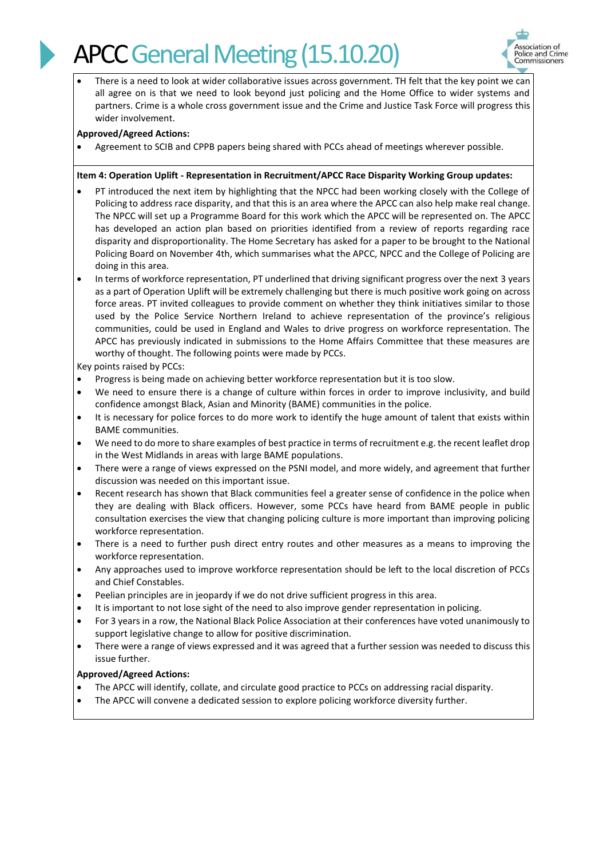

There is a need to look at wider collaborative issues across government. TH felt that the key point we can all agree on is that we need to look beyond just policing and the Home Office to wider systems and partners. Crime is a whole cross government issue and the Crime and Justice Task Force will progress this wider involvement.

#### **Approved/Agreed Actions:**

• Agreement to SCIB and CPPB papers being shared with PCCs ahead of meetings wherever possible.

#### **Item 4: Operation Uplift - Representation in Recruitment/APCC Race Disparity Working Group updates:**

- PT introduced the next item by highlighting that the NPCC had been working closely with the College of Policing to address race disparity, and that this is an area where the APCC can also help make real change. The NPCC will set up a Programme Board for this work which the APCC will be represented on. The APCC has developed an action plan based on priorities identified from a review of reports regarding race disparity and disproportionality. The Home Secretary has asked for a paper to be brought to the National Policing Board on November 4th, which summarises what the APCC, NPCC and the College of Policing are doing in this area.
- In terms of workforce representation, PT underlined that driving significant progress over the next 3 years as a part of Operation Uplift will be extremely challenging but there is much positive work going on across force areas. PT invited colleagues to provide comment on whether they think initiatives similar to those used by the Police Service Northern Ireland to achieve representation of the province's religious communities, could be used in England and Wales to drive progress on workforce representation. The APCC has previously indicated in submissions to the Home Affairs Committee that these measures are worthy of thought. The following points were made by PCCs.

Key points raised by PCCs:

- Progress is being made on achieving better workforce representation but it is too slow.
- We need to ensure there is a change of culture within forces in order to improve inclusivity, and build confidence amongst Black, Asian and Minority (BAME) communities in the police.
- It is necessary for police forces to do more work to identify the huge amount of talent that exists within BAME communities.
- We need to do more to share examples of best practice in terms of recruitment e.g. the recent leaflet drop in the West Midlands in areas with large BAME populations.
- There were a range of views expressed on the PSNI model, and more widely, and agreement that further discussion was needed on this important issue.
- Recent research has shown that Black communities feel a greater sense of confidence in the police when they are dealing with Black officers. However, some PCCs have heard from BAME people in public consultation exercises the view that changing policing culture is more important than improving policing workforce representation.
- There is a need to further push direct entry routes and other measures as a means to improving the workforce representation.
- Any approaches used to improve workforce representation should be left to the local discretion of PCCs and Chief Constables.
- Peelian principles are in jeopardy if we do not drive sufficient progress in this area.
- It is important to not lose sight of the need to also improve gender representation in policing.
- For 3 years in a row, the National Black Police Association at their conferences have voted unanimously to support legislative change to allow for positive discrimination.
- There were a range of views expressed and it was agreed that a further session was needed to discuss this issue further.

#### **Approved/Agreed Actions:**

- The APCC will identify, collate, and circulate good practice to PCCs on addressing racial disparity.
- The APCC will convene a dedicated session to explore policing workforce diversity further.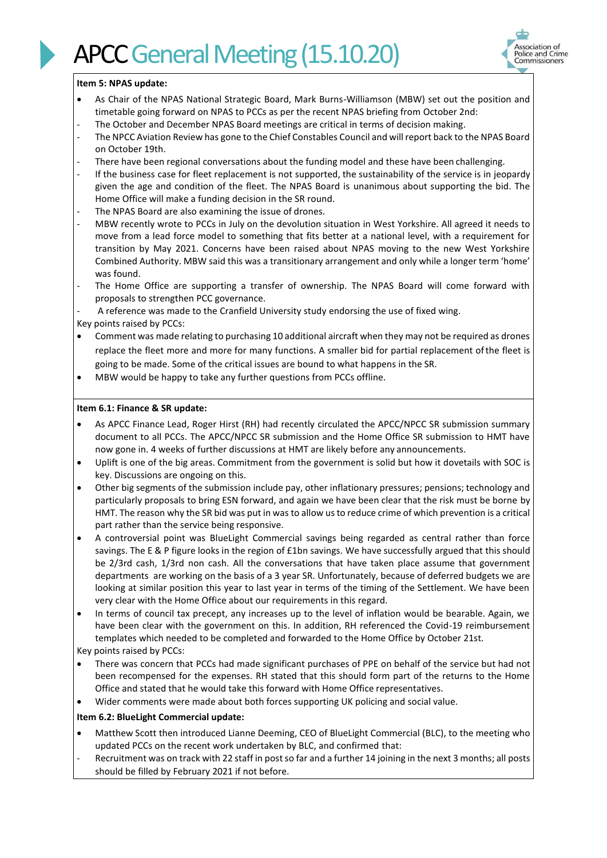

#### **Item 5: NPAS update:**

- As Chair of the NPAS National Strategic Board, Mark Burns-Williamson (MBW) set out the position and timetable going forward on NPAS to PCCs as per the recent NPAS briefing from October 2nd:
- The October and December NPAS Board meetings are critical in terms of decision making.
- The NPCC Aviation Review has gone to the Chief Constables Council and will report back to the NPAS Board on October 19th.
- There have been regional conversations about the funding model and these have been challenging.
- If the business case for fleet replacement is not supported, the sustainability of the service is in jeopardy given the age and condition of the fleet. The NPAS Board is unanimous about supporting the bid. The Home Office will make a funding decision in the SR round.
- The NPAS Board are also examining the issue of drones.
- MBW recently wrote to PCCs in July on the devolution situation in West Yorkshire. All agreed it needs to move from a lead force model to something that fits better at a national level, with a requirement for transition by May 2021. Concerns have been raised about NPAS moving to the new West Yorkshire Combined Authority. MBW said this was a transitionary arrangement and only while a longer term 'home' was found.
- The Home Office are supporting a transfer of ownership. The NPAS Board will come forward with proposals to strengthen PCC governance.

A reference was made to the Cranfield University study endorsing the use of fixed wing.

- Key points raised by PCCs:
- Comment was made relating to purchasing 10 additional aircraft when they may not be required as drones replace the fleet more and more for many functions. A smaller bid for partial replacement ofthe fleet is going to be made. Some of the critical issues are bound to what happens in the SR.
- MBW would be happy to take any further questions from PCCs offline.

#### **Item 6.1: Finance & SR update:**

- As APCC Finance Lead, Roger Hirst (RH) had recently circulated the APCC/NPCC SR submission summary document to all PCCs. The APCC/NPCC SR submission and the Home Office SR submission to HMT have now gone in. 4 weeks of further discussions at HMT are likely before any announcements.
- Uplift is one of the big areas. Commitment from the government is solid but how it dovetails with SOC is key. Discussions are ongoing on this.
- Other big segments of the submission include pay, other inflationary pressures; pensions; technology and particularly proposals to bring ESN forward, and again we have been clear that the risk must be borne by HMT. The reason why the SR bid was put in was to allow us to reduce crime of which prevention is a critical part rather than the service being responsive.
- A controversial point was BlueLight Commercial savings being regarded as central rather than force savings. The E & P figure looks in the region of £1bn savings. We have successfully argued that this should be 2/3rd cash, 1/3rd non cash. All the conversations that have taken place assume that government departments are working on the basis of a 3 year SR. Unfortunately, because of deferred budgets we are looking at similar position this year to last year in terms of the timing of the Settlement. We have been very clear with the Home Office about our requirements in this regard.
- In terms of council tax precept, any increases up to the level of inflation would be bearable. Again, we have been clear with the government on this. In addition, RH referenced the Covid-19 reimbursement templates which needed to be completed and forwarded to the Home Office by October 21st.
- Key points raised by PCCs:
- There was concern that PCCs had made significant purchases of PPE on behalf of the service but had not been recompensed for the expenses. RH stated that this should form part of the returns to the Home Office and stated that he would take this forward with Home Office representatives.
- Wider comments were made about both forces supporting UK policing and social value.

#### **Item 6.2: BlueLight Commercial update:**

- Matthew Scott then introduced Lianne Deeming, CEO of BlueLight Commercial (BLC), to the meeting who updated PCCs on the recent work undertaken by BLC, and confirmed that:
- Recruitment was on track with 22 staff in post so far and a further 14 joining in the next 3 months; all posts should be filled by February 2021 if not before.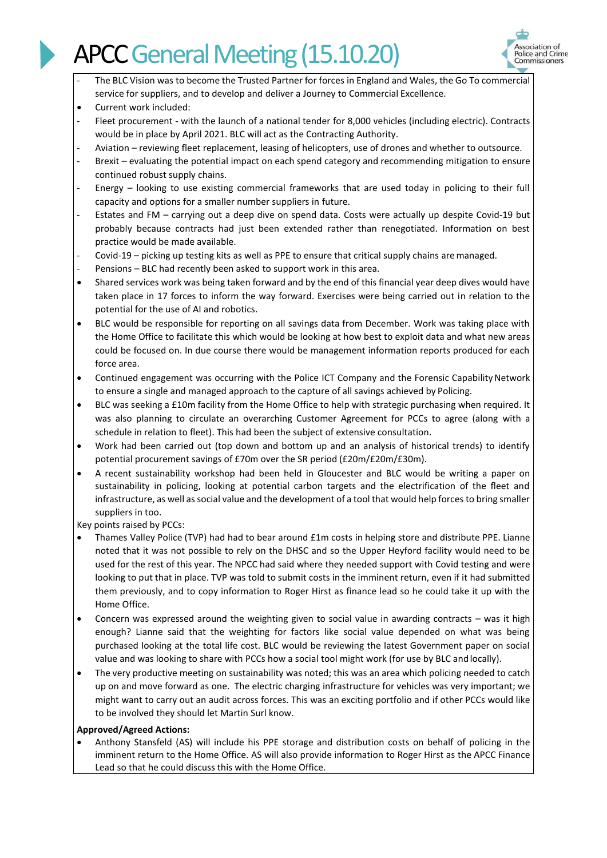

- The BLC Vision was to become the Trusted Partner for forces in England and Wales, the Go To commercial service for suppliers, and to develop and deliver a Journey to Commercial Excellence.
- Current work included:
- Fleet procurement with the launch of a national tender for 8,000 vehicles (including electric). Contracts would be in place by April 2021. BLC will act as the Contracting Authority.
- Aviation reviewing fleet replacement, leasing of helicopters, use of drones and whether to outsource.
- Brexit evaluating the potential impact on each spend category and recommending mitigation to ensure continued robust supply chains.
- Energy looking to use existing commercial frameworks that are used today in policing to their full capacity and options for a smaller number suppliers in future.
- Estates and FM carrying out a deep dive on spend data. Costs were actually up despite Covid-19 but probably because contracts had just been extended rather than renegotiated. Information on best practice would be made available.
- Covid-19 picking up testing kits as well as PPE to ensure that critical supply chains are managed.
- Pensions BLC had recently been asked to support work in this area.
- Shared services work was being taken forward and by the end of this financial year deep dives would have taken place in 17 forces to inform the way forward. Exercises were being carried out in relation to the potential for the use of AI and robotics.
- BLC would be responsible for reporting on all savings data from December. Work was taking place with the Home Office to facilitate this which would be looking at how best to exploit data and what new areas could be focused on. In due course there would be management information reports produced for each force area.
- Continued engagement was occurring with the Police ICT Company and the Forensic Capability Network to ensure a single and managed approach to the capture of all savings achieved by Policing.
- BLC was seeking a £10m facility from the Home Office to help with strategic purchasing when required. It was also planning to circulate an overarching Customer Agreement for PCCs to agree (along with a schedule in relation to fleet). This had been the subject of extensive consultation.
- Work had been carried out (top down and bottom up and an analysis of historical trends) to identify potential procurement savings of £70m over the SR period (£20m/£20m/£30m).
- A recent sustainability workshop had been held in Gloucester and BLC would be writing a paper on sustainability in policing, looking at potential carbon targets and the electrification of the fleet and infrastructure, as well as social value and the development of a tool that would help forces to bring smaller suppliers in too.

Key points raised by PCCs:

- Thames Valley Police (TVP) had had to bear around £1m costs in helping store and distribute PPE. Lianne noted that it was not possible to rely on the DHSC and so the Upper Heyford facility would need to be used for the rest of this year. The NPCC had said where they needed support with Covid testing and were looking to put that in place. TVP was told to submit costs in the imminent return, even if it had submitted them previously, and to copy information to Roger Hirst as finance lead so he could take it up with the Home Office.
- Concern was expressed around the weighting given to social value in awarding contracts was it high enough? Lianne said that the weighting for factors like social value depended on what was being purchased looking at the total life cost. BLC would be reviewing the latest Government paper on social value and was looking to share with PCCs how a social tool might work (for use by BLC andlocally).
- The very productive meeting on sustainability was noted; this was an area which policing needed to catch up on and move forward as one. The electric charging infrastructure for vehicles was very important; we might want to carry out an audit across forces. This was an exciting portfolio and if other PCCs would like to be involved they should let Martin Surl know.

#### **Approved/Agreed Actions:**

• Anthony Stansfeld (AS) will include his PPE storage and distribution costs on behalf of policing in the imminent return to the Home Office. AS will also provide information to Roger Hirst as the APCC Finance Lead so that he could discuss this with the Home Office.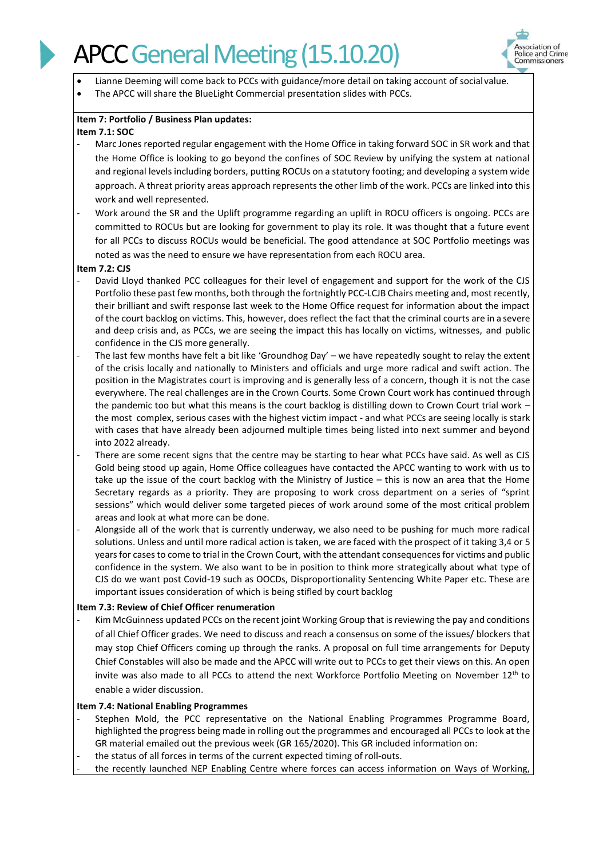

- Lianne Deeming will come back to PCCs with guidance/more detail on taking account of socialvalue.
- The APCC will share the BlueLight Commercial presentation slides with PCCs.

#### **Item 7: Portfolio / Business Plan updates: Item 7.1: SOC**

- Marc Jones reported regular engagement with the Home Office in taking forward SOC in SR work and that the Home Office is looking to go beyond the confines of SOC Review by unifying the system at national and regional levels including borders, putting ROCUs on a statutory footing; and developing a system wide approach. A threat priority areas approach represents the other limb of the work. PCCs are linked into this work and well represented.
- Work around the SR and the Uplift programme regarding an uplift in ROCU officers is ongoing. PCCs are committed to ROCUs but are looking for government to play its role. It was thought that a future event for all PCCs to discuss ROCUs would be beneficial. The good attendance at SOC Portfolio meetings was noted as was the need to ensure we have representation from each ROCU area.

#### **Item 7.2: CJS**

- David Lloyd thanked PCC colleagues for their level of engagement and support for the work of the CJS Portfolio these past few months, both through the fortnightly PCC-LCJB Chairs meeting and, most recently, their brilliant and swift response last week to the Home Office request for information about the impact of the court backlog on victims. This, however, does reflect the fact that the criminal courts are in a severe and deep crisis and, as PCCs, we are seeing the impact this has locally on victims, witnesses, and public confidence in the CJS more generally.
- The last few months have felt a bit like 'Groundhog Day' we have repeatedly sought to relay the extent of the crisis locally and nationally to Ministers and officials and urge more radical and swift action. The position in the Magistrates court is improving and is generally less of a concern, though it is not the case everywhere. The real challenges are in the Crown Courts. Some Crown Court work has continued through the pandemic too but what this means is the court backlog is distilling down to Crown Court trial work the most complex, serious cases with the highest victim impact - and what PCCs are seeing locally is stark with cases that have already been adjourned multiple times being listed into next summer and beyond into 2022 already.
- There are some recent signs that the centre may be starting to hear what PCCs have said. As well as CJS Gold being stood up again, Home Office colleagues have contacted the APCC wanting to work with us to take up the issue of the court backlog with the Ministry of Justice – this is now an area that the Home Secretary regards as a priority. They are proposing to work cross department on a series of "sprint sessions" which would deliver some targeted pieces of work around some of the most critical problem areas and look at what more can be done.
- Alongside all of the work that is currently underway, we also need to be pushing for much more radical solutions. Unless and until more radical action is taken, we are faced with the prospect of it taking 3,4 or 5 years for cases to come to trial in the Crown Court, with the attendant consequences for victims and public confidence in the system. We also want to be in position to think more strategically about what type of CJS do we want post Covid-19 such as OOCDs, Disproportionality Sentencing White Paper etc. These are important issues consideration of which is being stifled by court backlog

#### **Item 7.3: Review of Chief Officer renumeration**

Kim McGuinness updated PCCs on the recent joint Working Group that is reviewing the pay and conditions of all Chief Officer grades. We need to discuss and reach a consensus on some of the issues/ blockers that may stop Chief Officers coming up through the ranks. A proposal on full time arrangements for Deputy Chief Constables will also be made and the APCC will write out to PCCs to get their views on this. An open invite was also made to all PCCs to attend the next Workforce Portfolio Meeting on November 12<sup>th</sup> to enable a wider discussion.

#### **Item 7.4: National Enabling Programmes**

- Stephen Mold, the PCC representative on the National Enabling Programmes Programme Board, highlighted the progress being made in rolling out the programmes and encouraged all PCCs to look at the GR material emailed out the previous week (GR 165/2020). This GR included information on:
- the status of all forces in terms of the current expected timing of roll-outs.
- the recently launched NEP Enabling Centre where forces can access information on Ways of Working,